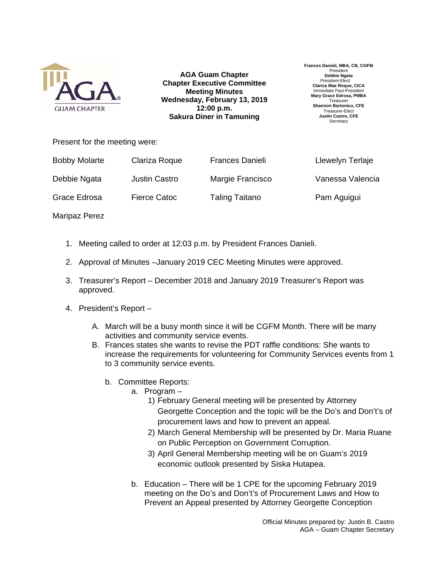

**AGA Guam Chapter Chapter Executive Committee Meeting Minutes Wednesday, February 13, 2019 12:00 p.m. Sakura Diner in Tamuning**

**Frances Danieli, MBA, CB, CGFM**  Presiden **Debbie Ngata**  President-Elect **Clariza Mae Roque, CICA**  Immediate Past-President **Mary Grace Edrosa, PMBA Treasurer Shannon Bartonico, CFE**  Treasurer-Elect **Justin Castro, CFE Secretary** 

Present for the meeting were:

| <b>Bobby Molarte</b> | Clariza Roque | <b>Frances Danieli</b> | Llewelyn Terlaje |
|----------------------|---------------|------------------------|------------------|
| Debbie Ngata         | Justin Castro | Margie Francisco       | Vanessa Valencia |
| Grace Edrosa         | Fierce Catoc  | <b>Taling Taitano</b>  | Pam Aguigui      |

Maripaz Perez

- 1. Meeting called to order at 12:03 p.m. by President Frances Danieli.
- 2. Approval of Minutes –January 2019 CEC Meeting Minutes were approved.
- 3. Treasurer's Report December 2018 and January 2019 Treasurer's Report was approved.
- 4. President's Report
	- A. March will be a busy month since it will be CGFM Month. There will be many activities and community service events.
	- B. Frances states she wants to revise the PDT raffle conditions: She wants to increase the requirements for volunteering for Community Services events from 1 to 3 community service events.
		- b. Committee Reports:
			- a. Program
				- 1) February General meeting will be presented by Attorney Georgette Conception and the topic will be the Do's and Don't's of procurement laws and how to prevent an appeal.
				- 2) March General Membership will be presented by Dr. Maria Ruane on Public Perception on Government Corruption.
				- 3) April General Membership meeting will be on Guam's 2019 economic outlook presented by Siska Hutapea.
			- b. Education There will be 1 CPE for the upcoming February 2019 meeting on the Do's and Don't's of Procurement Laws and How to Prevent an Appeal presented by Attorney Georgette Conception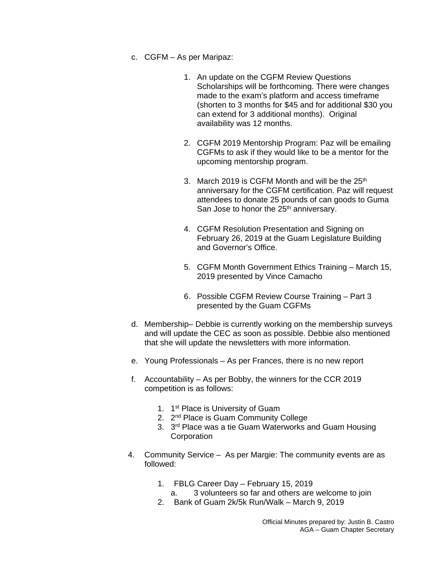- c. CGFM As per Maripaz:
	- 1. An update on the CGFM Review Questions Scholarships will be forthcoming. There were changes made to the exam's platform and access timeframe (shorten to 3 months for \$45 and for additional \$30 you can extend for 3 additional months). Original availability was 12 months.
	- 2. CGFM 2019 Mentorship Program: Paz will be emailing CGFMs to ask if they would like to be a mentor for the upcoming mentorship program.
	- 3. March 2019 is CGFM Month and will be the 25<sup>th</sup> anniversary for the CGFM certification. Paz will request attendees to donate 25 pounds of can goods to Guma San Jose to honor the 25<sup>th</sup> anniversary.
	- 4. CGFM Resolution Presentation and Signing on February 26, 2019 at the Guam Legislature Building and Governor's Office.
	- 5. CGFM Month Government Ethics Training March 15, 2019 presented by Vince Camacho
	- 6. Possible CGFM Review Course Training Part 3 presented by the Guam CGFMs
- d. Membership– Debbie is currently working on the membership surveys and will update the CEC as soon as possible. Debbie also mentioned that she will update the newsletters with more information.
- e. Young Professionals As per Frances, there is no new report
- f. Accountability As per Bobby, the winners for the CCR 2019 competition is as follows:
	- 1. 1<sup>st</sup> Place is University of Guam
	- 2. 2<sup>nd</sup> Place is Guam Community College
	- 3. 3<sup>rd</sup> Place was a tie Guam Waterworks and Guam Housing **Corporation**
- 4. Community Service As per Margie: The community events are as followed:
	- 1. FBLG Career Day February 15, 2019
		- a. 3 volunteers so far and others are welcome to join
	- 2. Bank of Guam 2k/5k Run/Walk March 9, 2019